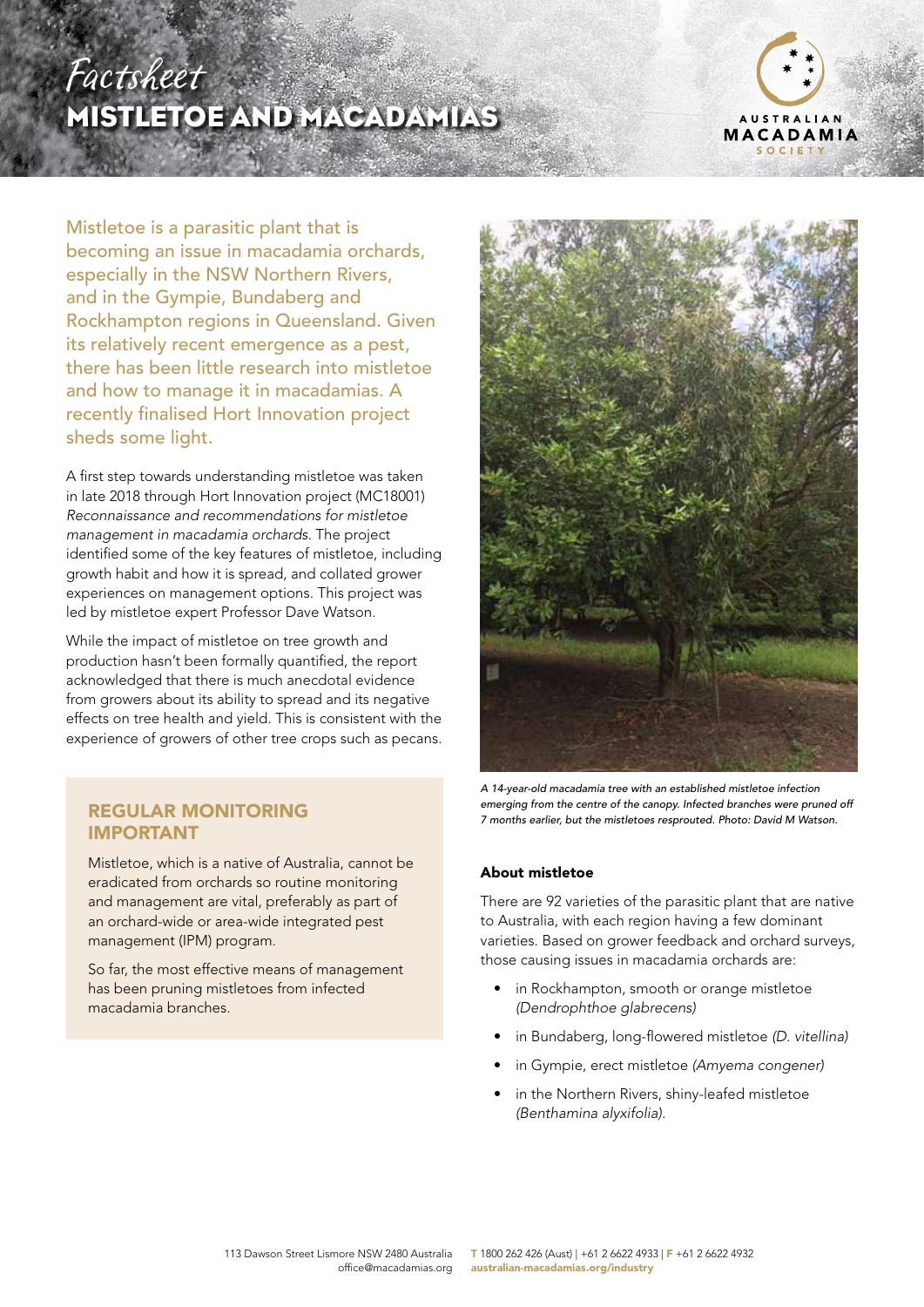## Factsheet MISTLETOE AND MACADAMIAS



Mistletoe is a parasitic plant that is becoming an issue in macadamia orchards, especially in the NSW Northern Rivers, and in the Gympie, Bundaberg and Rockhampton regions in Queensland. Given its relatively recent emergence as a pest, there has been little research into mistletoe and how to manage it in macadamias. A recently finalised Hort Innovation project sheds some light.

A first step towards understanding mistletoe was taken in late 2018 through Hort Innovation project (MC18001) *Reconnaissance and recommendations for mistletoe management in macadamia orchards.* The project identified some of the key features of mistletoe, including growth habit and how it is spread, and collated grower experiences on management options. This project was led by mistletoe expert Professor Dave Watson.

While the impact of mistletoe on tree growth and production hasn't been formally quantified, the report acknowledged that there is much anecdotal evidence from growers about its ability to spread and its negative effects on tree health and yield. This is consistent with the experience of growers of other tree crops such as pecans.

# IMPORTANT

Mistletoe, which is a native of Australia, cannot be eradicated from orchards so routine monitoring and management are vital, preferably as part of an orchard-wide or area-wide integrated pest management (IPM) program.

So far, the most effective means of management has been pruning mistletoes from infected macadamia branches.



*A 14-year-old macadamia tree with an established mistletoe infection emerging from the centre of the canopy. Infected branches were pruned off 7 months earlier, but the mistletoes resprouted. Photo: David M Watson.* REGULAR MONITORING

#### About mistletoe

There are 92 varieties of the parasitic plant that are native to Australia, with each region having a few dominant varieties. Based on grower feedback and orchard surveys, those causing issues in macadamia orchards are:

- in Rockhampton, smooth or orange mistletoe *(Dendrophthoe glabrecens)*
- in Bundaberg, long-flowered mistletoe *(D. vitellina)*
- in Gympie, erect mistletoe *(Amyema congener)*
- in the Northern Rivers, shiny-leafed mistletoe *(Benthamina alyxifolia).*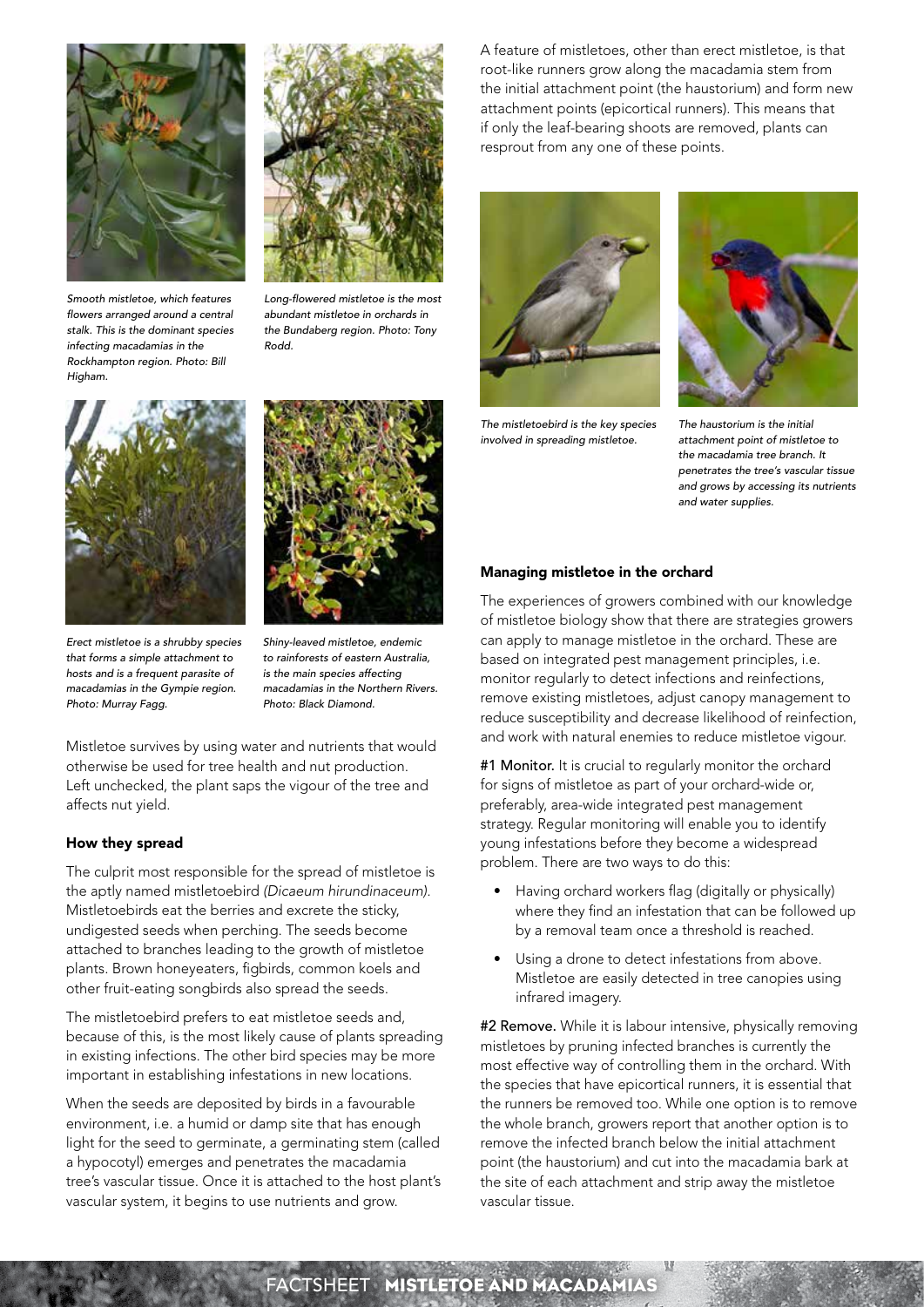



*Smooth mistletoe, which features flowers arranged around a central stalk. This is the dominant species infecting macadamias in the Rockhampton region. Photo: Bill Higham.*

*Long-flowered mistletoe is the most abundant mistletoe in orchards in the Bundaberg region. Photo: Tony Rodd.*



*Erect mistletoe is a shrubby species that forms a simple attachment to hosts and is a frequent parasite of macadamias in the Gympie region. Photo: Murray Fagg.*



*Shiny-leaved mistletoe, endemic to rainforests of eastern Australia, is the main species affecting macadamias in the Northern Rivers. Photo: Black Diamond.*

Mistletoe survives by using water and nutrients that would otherwise be used for tree health and nut production. Left unchecked, the plant saps the vigour of the tree and affects nut yield.

#### How they spread

The culprit most responsible for the spread of mistletoe is the aptly named mistletoebird *(Dicaeum hirundinaceum).* Mistletoebirds eat the berries and excrete the sticky, undigested seeds when perching. The seeds become attached to branches leading to the growth of mistletoe plants. Brown honeyeaters, figbirds, common koels and other fruit-eating songbirds also spread the seeds.

The mistletoebird prefers to eat mistletoe seeds and, because of this, is the most likely cause of plants spreading in existing infections. The other bird species may be more important in establishing infestations in new locations.

When the seeds are deposited by birds in a favourable environment, i.e. a humid or damp site that has enough light for the seed to germinate, a germinating stem (called a hypocotyl) emerges and penetrates the macadamia tree's vascular tissue. Once it is attached to the host plant's vascular system, it begins to use nutrients and grow.

A feature of mistletoes, other than erect mistletoe, is that root-like runners grow along the macadamia stem from the initial attachment point (the haustorium) and form new attachment points (epicortical runners). This means that if only the leaf-bearing shoots are removed, plants can resprout from any one of these points.



*The mistletoebird is the key species involved in spreading mistletoe.*



*The haustorium is the initial attachment point of mistletoe to the macadamia tree branch. It penetrates the tree's vascular tissue and grows by accessing its nutrients and water supplies.* 

#### Managing mistletoe in the orchard

The experiences of growers combined with our knowledge of mistletoe biology show that there are strategies growers can apply to manage mistletoe in the orchard. These are based on integrated pest management principles, i.e. monitor regularly to detect infections and reinfections, remove existing mistletoes, adjust canopy management to reduce susceptibility and decrease likelihood of reinfection, and work with natural enemies to reduce mistletoe vigour.

#1 Monitor. It is crucial to regularly monitor the orchard for signs of mistletoe as part of your orchard-wide or, preferably, area-wide integrated pest management strategy. Regular monitoring will enable you to identify young infestations before they become a widespread problem. There are two ways to do this:

- Having orchard workers flag (digitally or physically) where they find an infestation that can be followed up by a removal team once a threshold is reached.
- Using a drone to detect infestations from above. Mistletoe are easily detected in tree canopies using infrared imagery.

#2 Remove. While it is labour intensive, physically removing mistletoes by pruning infected branches is currently the most effective way of controlling them in the orchard. With the species that have epicortical runners, it is essential that the runners be removed too. While one option is to remove the whole branch, growers report that another option is to remove the infected branch below the initial attachment point (the haustorium) and cut into the macadamia bark at the site of each attachment and strip away the mistletoe vascular tissue.

## **CTSHEET MISTLETOE AND MACADAMIAS**